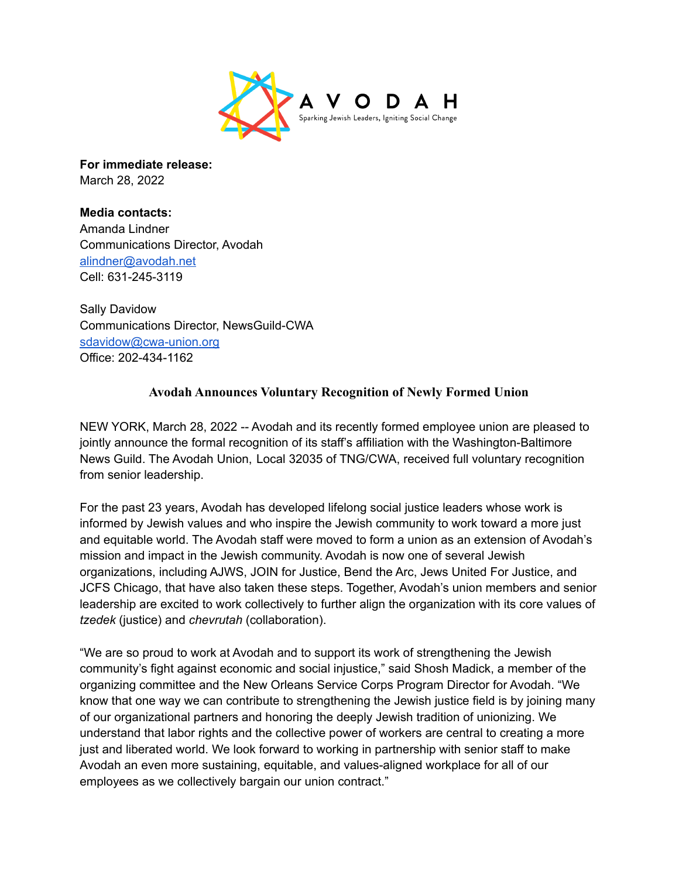

**For immediate release:** March 28, 2022

**Media contacts:** Amanda Lindner Communications Director, Avodah [alindner@avodah.net](mailto:alindner@avodah.net) Cell: 631-245-3119

Sally Davidow Communications Director, NewsGuild-CWA [sdavidow@cwa-union.org](mailto:sdavidow@cwa-union.org) Office: 202-434-1162

## **Avodah Announces Voluntary Recognition of Newly Formed Union**

NEW YORK, March 28, 2022 -- Avodah and its recently formed employee union are pleased to jointly announce the formal recognition of its staff's affiliation with the Washington-Baltimore News Guild. The Avodah Union, Local 32035 of TNG/CWA, received full voluntary recognition from senior leadership.

For the past 23 years, Avodah has developed lifelong social justice leaders whose work is informed by Jewish values and who inspire the Jewish community to work toward a more just and equitable world. The Avodah staff were moved to form a union as an extension of Avodah's mission and impact in the Jewish community. Avodah is now one of several Jewish organizations, including AJWS, JOIN for Justice, Bend the Arc, Jews United For Justice, and JCFS Chicago, that have also taken these steps. Together, Avodah's union members and senior leadership are excited to work collectively to further align the organization with its core values of *tzedek* (justice) and *chevrutah* (collaboration).

"We are so proud to work at Avodah and to support its work of strengthening the Jewish community's fight against economic and social injustice," said Shosh Madick, a member of the organizing committee and the New Orleans Service Corps Program Director for Avodah. "We know that one way we can contribute to strengthening the Jewish justice field is by joining many of our organizational partners and honoring the deeply Jewish tradition of unionizing. We understand that labor rights and the collective power of workers are central to creating a more just and liberated world. We look forward to working in partnership with senior staff to make Avodah an even more sustaining, equitable, and values-aligned workplace for all of our employees as we collectively bargain our union contract."